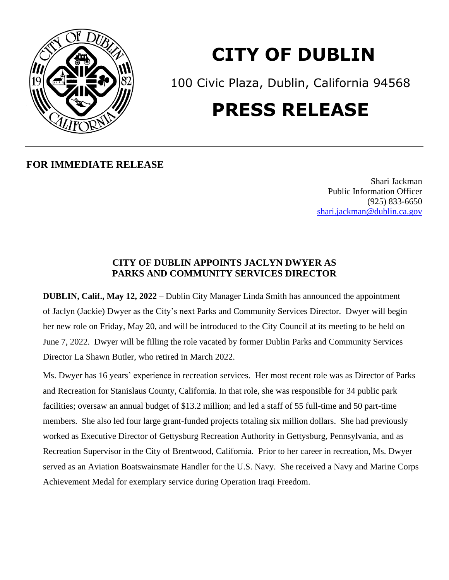

## **CITY OF DUBLIN**

100 Civic Plaza, Dublin, California 94568

## **PRESS RELEASE**

## **FOR IMMEDIATE RELEASE**

Shari Jackman Public Information Officer (925) 833-6650 [shari.jackman@dublin.ca.gov](mailto:shari.jackman@dublin.ca.gov)

## **CITY OF DUBLIN APPOINTS JACLYN DWYER AS PARKS AND COMMUNITY SERVICES DIRECTOR**

**DUBLIN, Calif., May 12, 2022** – Dublin City Manager Linda Smith has announced the appointment of Jaclyn (Jackie) Dwyer as the City's next Parks and Community Services Director. Dwyer will begin her new role on Friday, May 20, and will be introduced to the City Council at its meeting to be held on June 7, 2022. Dwyer will be filling the role vacated by former Dublin Parks and Community Services Director La Shawn Butler, who retired in March 2022.

Ms. Dwyer has 16 years' experience in recreation services. Her most recent role was as Director of Parks and Recreation for Stanislaus County, California. In that role, she was responsible for 34 public park facilities; oversaw an annual budget of \$13.2 million; and led a staff of 55 full-time and 50 part-time members. She also led four large grant-funded projects totaling six million dollars. She had previously worked as Executive Director of Gettysburg Recreation Authority in Gettysburg, Pennsylvania, and as Recreation Supervisor in the City of Brentwood, California. Prior to her career in recreation, Ms. Dwyer served as an Aviation Boatswainsmate Handler for the U.S. Navy. She received a Navy and Marine Corps Achievement Medal for exemplary service during Operation Iraqi Freedom.